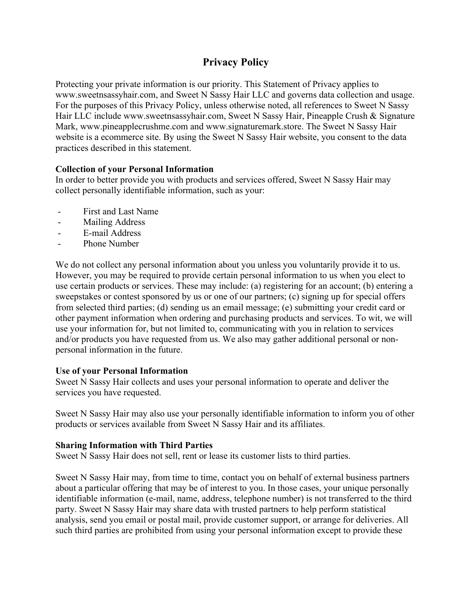# **Privacy Policy**

Protecting your private information is our priority. This Statement of Privacy applies to www.sweetnsassyhair.com, and Sweet N Sassy Hair LLC and governs data collection and usage. For the purposes of this Privacy Policy, unless otherwise noted, all references to Sweet N Sassy Hair LLC include www.sweetnsassyhair.com, Sweet N Sassy Hair, Pineapple Crush & Signature Mark, www.pineapplecrushme.com and www.signaturemark.store. The Sweet N Sassy Hair website is a ecommerce site. By using the Sweet N Sassy Hair website, you consent to the data practices described in this statement.

### **Collection of your Personal Information**

In order to better provide you with products and services offered, Sweet N Sassy Hair may collect personally identifiable information, such as your:

- First and Last Name
- Mailing Address
- E-mail Address
- Phone Number

We do not collect any personal information about you unless you voluntarily provide it to us. However, you may be required to provide certain personal information to us when you elect to use certain products or services. These may include: (a) registering for an account; (b) entering a sweepstakes or contest sponsored by us or one of our partners; (c) signing up for special offers from selected third parties; (d) sending us an email message; (e) submitting your credit card or other payment information when ordering and purchasing products and services. To wit, we will use your information for, but not limited to, communicating with you in relation to services and/or products you have requested from us. We also may gather additional personal or nonpersonal information in the future.

#### **Use of your Personal Information**

Sweet N Sassy Hair collects and uses your personal information to operate and deliver the services you have requested.

Sweet N Sassy Hair may also use your personally identifiable information to inform you of other products or services available from Sweet N Sassy Hair and its affiliates.

#### **Sharing Information with Third Parties**

Sweet N Sassy Hair does not sell, rent or lease its customer lists to third parties.

Sweet N Sassy Hair may, from time to time, contact you on behalf of external business partners about a particular offering that may be of interest to you. In those cases, your unique personally identifiable information (e-mail, name, address, telephone number) is not transferred to the third party. Sweet N Sassy Hair may share data with trusted partners to help perform statistical analysis, send you email or postal mail, provide customer support, or arrange for deliveries. All such third parties are prohibited from using your personal information except to provide these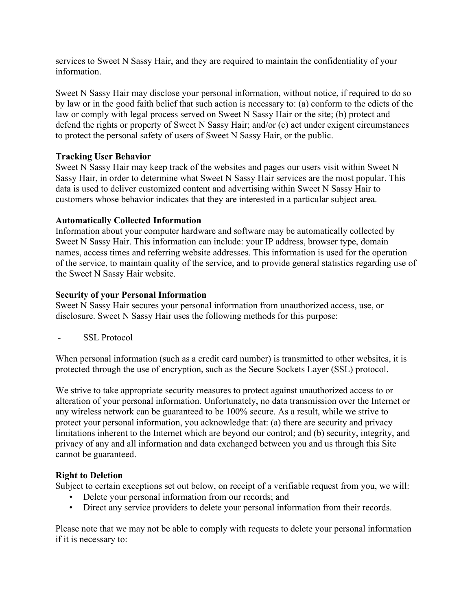services to Sweet N Sassy Hair, and they are required to maintain the confidentiality of your information.

Sweet N Sassy Hair may disclose your personal information, without notice, if required to do so by law or in the good faith belief that such action is necessary to: (a) conform to the edicts of the law or comply with legal process served on Sweet N Sassy Hair or the site; (b) protect and defend the rights or property of Sweet N Sassy Hair; and/or (c) act under exigent circumstances to protect the personal safety of users of Sweet N Sassy Hair, or the public.

### **Tracking User Behavior**

Sweet N Sassy Hair may keep track of the websites and pages our users visit within Sweet N Sassy Hair, in order to determine what Sweet N Sassy Hair services are the most popular. This data is used to deliver customized content and advertising within Sweet N Sassy Hair to customers whose behavior indicates that they are interested in a particular subject area.

### **Automatically Collected Information**

Information about your computer hardware and software may be automatically collected by Sweet N Sassy Hair. This information can include: your IP address, browser type, domain names, access times and referring website addresses. This information is used for the operation of the service, to maintain quality of the service, and to provide general statistics regarding use of the Sweet N Sassy Hair website.

### **Security of your Personal Information**

Sweet N Sassy Hair secures your personal information from unauthorized access, use, or disclosure. Sweet N Sassy Hair uses the following methods for this purpose:

- SSL Protocol

When personal information (such as a credit card number) is transmitted to other websites, it is protected through the use of encryption, such as the Secure Sockets Layer (SSL) protocol.

We strive to take appropriate security measures to protect against unauthorized access to or alteration of your personal information. Unfortunately, no data transmission over the Internet or any wireless network can be guaranteed to be 100% secure. As a result, while we strive to protect your personal information, you acknowledge that: (a) there are security and privacy limitations inherent to the Internet which are beyond our control; and (b) security, integrity, and privacy of any and all information and data exchanged between you and us through this Site cannot be guaranteed.

# **Right to Deletion**

Subject to certain exceptions set out below, on receipt of a verifiable request from you, we will:

- Delete your personal information from our records; and
- Direct any service providers to delete your personal information from their records.

Please note that we may not be able to comply with requests to delete your personal information if it is necessary to: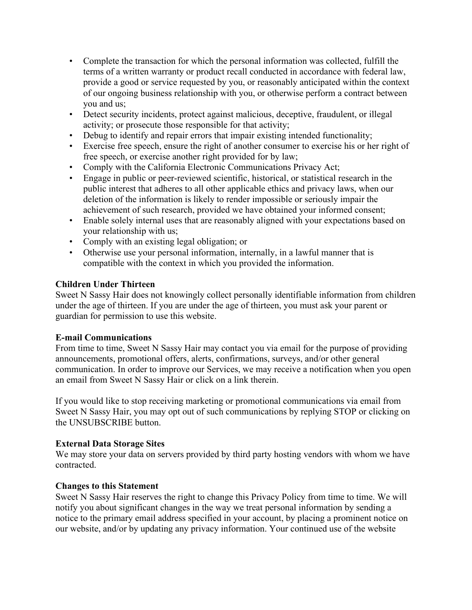- Complete the transaction for which the personal information was collected, fulfill the terms of a written warranty or product recall conducted in accordance with federal law, provide a good or service requested by you, or reasonably anticipated within the context of our ongoing business relationship with you, or otherwise perform a contract between you and us;
- Detect security incidents, protect against malicious, deceptive, fraudulent, or illegal activity; or prosecute those responsible for that activity;
- Debug to identify and repair errors that impair existing intended functionality;
- Exercise free speech, ensure the right of another consumer to exercise his or her right of free speech, or exercise another right provided for by law;
- Comply with the California Electronic Communications Privacy Act;
- Engage in public or peer-reviewed scientific, historical, or statistical research in the public interest that adheres to all other applicable ethics and privacy laws, when our deletion of the information is likely to render impossible or seriously impair the achievement of such research, provided we have obtained your informed consent;
- Enable solely internal uses that are reasonably aligned with your expectations based on your relationship with us;
- Comply with an existing legal obligation; or
- Otherwise use your personal information, internally, in a lawful manner that is compatible with the context in which you provided the information.

# **Children Under Thirteen**

Sweet N Sassy Hair does not knowingly collect personally identifiable information from children under the age of thirteen. If you are under the age of thirteen, you must ask your parent or guardian for permission to use this website.

# **E-mail Communications**

From time to time, Sweet N Sassy Hair may contact you via email for the purpose of providing announcements, promotional offers, alerts, confirmations, surveys, and/or other general communication. In order to improve our Services, we may receive a notification when you open an email from Sweet N Sassy Hair or click on a link therein.

If you would like to stop receiving marketing or promotional communications via email from Sweet N Sassy Hair, you may opt out of such communications by replying STOP or clicking on the UNSUBSCRIBE button.

# **External Data Storage Sites**

We may store your data on servers provided by third party hosting vendors with whom we have contracted.

# **Changes to this Statement**

Sweet N Sassy Hair reserves the right to change this Privacy Policy from time to time. We will notify you about significant changes in the way we treat personal information by sending a notice to the primary email address specified in your account, by placing a prominent notice on our website, and/or by updating any privacy information. Your continued use of the website